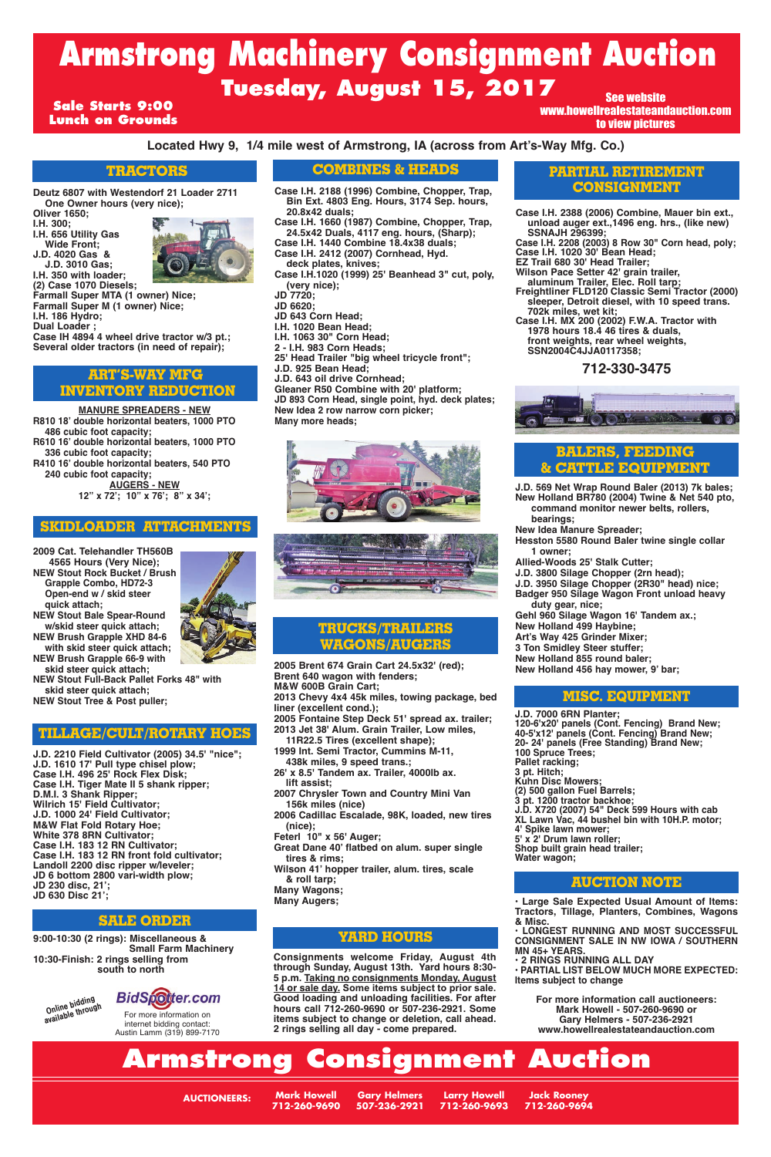**Located Hwy 9, 1/4 mile west of Armstrong, IA (across from Art's-Way Mfg. Co.)**

**Deutz 6807 with Westendorf 21 Loader 2711 One Owner hours (very nice);**

**Oliver 1650;**

- **I.H. 300; I.H. 656 Utility Gas Wide Front;**
- **J.D. 4020 Gas & J.D. 3010 Gas;**



**(2) Case 1070 Diesels;**

**Farmall Super MTA (1 owner) Nice;**

**Farmall Super M (1 owner) Nice;**

**I.H. 186 Hydro;**

**Dual Loader ;**

**Case IH 4894 4 wheel drive tractor w/3 pt.; Several older tractors (in need of repair);**

**2009 Cat. Telehandler TH560B 4565 Hours (Very Nice); NEW Stout Rock Bucket / Brush Grapple Combo, HD72-3 Open-end w / skid steer quick attach; NEW Stout Bale Spear-Round**

**w/skid steer quick attach; NEW Brush Grapple XHD 84-6 with skid steer quick attach; NEW Brush Grapple 66-9 with skid steer quick attach;**

**NEW Stout Full-Back Pallet Forks 48" with skid steer quick attach; NEW Stout Tree & Post puller;**

**J.D. 2210 Field Cultivator (2005) 34.5' "nice"; J.D. 1610 17' Pull type chisel plow; Case I.H. 496 25' Rock Flex Disk; Case I.H. Tiger Mate II 5 shank ripper; D.M.I. 3 Shank Ripper; Wilrich 15' Field Cultivator; J.D. 1000 24' Field Cultivator; M&W Flat Fold Rotary Hoe; White 378 8RN Cultivator; Case I.H. 183 12 RN Cultivator; Case I.H. 183 12 RN front fold cultivator; Landoll 2200 disc ripper w/leveler; JD 6 bottom 2800 vari-width plow; JD 230 disc, 21'; JD 630 Disc 21';**

**J.D. 569 Net Wrap Round Baler (2013) 7k bales; New Holland BR780 (2004) Twine & Net 540 pto,** 

- **command monitor newer belts, rollers, bearings;**
- **New Idea Manure Spreader;**

**Hesston 5580 Round Baler twine single collar 1 owner;**

- **Allied-Woods 25' Stalk Cutter;**
- **J.D. 3800 Silage Chopper (2rn head);**

**J.D. 3950 Silage Chopper (2R30" head) nice; Badger 950 Silage Wagon Front unload heavy duty gear, nice;**

**Gehl 960 Silage Wagon 16' Tandem ax.;**

- **New Holland 499 Haybine;**
- **Art's Way 425 Grinder Mixer;**
- **3 Ton Smidley Steer stuffer;**
- **New Holland 855 round baler;**
- **New Holland 456 hay mower, 9' bar;**

**Jack Rooney 712-260-9694**

**Larry Howell 712-260-9693 Gary Helmers 507-236-2921**

**Mark Howell 712-260-9690**

**AUCTIONEERS:**

**• Large Sale Expected Usual Amount of Items: Tractors, Tillage, Planters, Combines, Wagons & Misc.** 

**• LONGEST RUNNING AND MOST SUCCESSFUL CONSIGNMENT SALE IN NW IOWA / SOUTHERN MN 45+ YEARS.**

**• 2 RINGS RUNNING ALL DAY**

**• PARTIAL LIST BELOW MUCH MORE EXPECTED: Items subject to change**

**For more information call auctioneers: Mark Howell - 507-260-9690 or Gary Helmers - 507-236-2921 www.howellrealestateandauction.com**

# **Tuesday, August 15, 2017 Armstrong Machinery Consignment Auction** See website

**Consignments welcome Friday, August 4th through Sunday, August 13th. Yard hours 8:30- 5 p.m. Taking no consignments Monday, August 14 or sale day. Some items subject to prior sale. Good loading and unloading facilities. For after hours call 712-260-9690 or 507-236-2921. Some items subject to change or deletion, call ahead. 2 rings selling all day - come prepared.**

**9:00-10:30 (2 rings): Miscellaneous & Small Farm Machinery 10:30-Finish: 2 rings selling from south to north**

# **Armstrong Consignment Auction**

#### **TRACTORS**

#### **BALERS, FEEDING & CATTLE EQUIPMENT**

#### **SKIDLOADER ATTACHMENTS**

**MANURE SPREADERS - NEW**

**R810 18' double horizontal beaters, 1000 PTO 486 cubic foot capacity;**

**R610 16' double horizontal beaters, 1000 PTO 336 cubic foot capacity;**

**R410 16' double horizontal beaters, 540 PTO 240 cubic foot capacity; AUGERS - NEW**

**12" x 72'; 10" x 76'; 8" x 34';**

#### **ART'S-WAY MFG INVENTORY REDUCTION**

### **COMBINES & HEADS**

**Case I.H. 2388 (2006) Combine, Mauer bin ext., unload auger ext.,1496 eng. hrs., (like new) SSNAJH 296399;**

**Case I.H. 2208 (2003) 8 Row 30" Corn head, poly; Case I.H. 1020 30' Bean Head;**

- **EZ Trail 680 30' Head Trailer;**
- **Wilson Pace Setter 42' grain trailer, aluminum Trailer, Elec. Roll tarp;**
- **Freightliner FLD120 Classic Semi Tractor (2000) sleeper, Detroit diesel, with 10 speed trans. 702k miles, wet kit;**
- **Case I.H. MX 200 (2002) F.W.A. Tractor with 1978 hours 18.4 46 tires & duals, front weights, rear wheel weights, SSN2004C4JJA0117358;**

## **712-330-3475**



#### **PARTIAL RETIREMENT CONSIGNMENT**

#### **YARD HOURS**

#### **AUCTION NOTE**

#### **SALE ORDER**

**J.D. 7000 6RN Planter; 120-6'x20' panels (Cont. Fencing) Brand New; 40-5'x12' panels (Cont. Fencing) Brand New; 20- 24' panels (Free Standing) Brand New; 100 Spruce Trees; Pallet racking; 3 pt. Hitch; Kuhn Disc Mowers; (2) 500 gallon Fuel Barrels; 3 pt. 1200 tractor backhoe; J.D. X720 (2007) 54" Deck 599 Hours with cab XL Lawn Vac, 44 bushel bin with 10H.P. motor; 4' Spike lawn mower; 5' x 2' Drum lawn roller; Shop built grain head trailer; Water wagon;**



#### **MISC. EQUIPMENT**

## **TILLAGE/CULT/ROTARY HOES**

**2005 Brent 674 Grain Cart 24.5x32' (red); Brent 640 wagon with fenders; M&W 600B Grain Cart; 2013 Chevy 4x4 45k miles, towing package, bed liner (excellent cond.);**

**2005 Fontaine Step Deck 51' spread ax. trailer; 2013 Jet 38' Alum. Grain Trailer, Low miles,**

**11R22.5 Tires (excellent shape); 1999 Int. Semi Tractor, Cummins M-11, 438k miles, 9 speed trans.;**

- **26' x 8.5' Tandem ax. Trailer, 4000lb ax. lift assist;**
- **2007 Chrysler Town and Country Mini Van**

**156k miles (nice) 2006 Cadillac Escalade, 98K, loaded, new tires (nice); Feterl 10" x 56' Auger; Great Dane 40' flatbed on alum. super single tires & rims; Wilson 41' hopper trailer, alum. tires, scale & roll tarp; Many Wagons; Many Augers;**

#### **TRUCKS/TRAILERS WAGONS/AUGERS**

#### **Sale Starts 9:00 Lunch on Grounds**

# www.howellrealestateandauction.com to view pictures



# **BidSpotter.com**

For more information on internet bidding contact: Austin Lamm (319) 899-7170 **Case I.H. 2188 (1996) Combine, Chopper, Trap, Bin Ext. 4803 Eng. Hours, 3174 Sep. hours, 20.8x42 duals;** 

**Case I.H. 1660 (1987) Combine, Chopper, Trap, 24.5x42 Duals, 4117 eng. hours, (Sharp); Case I.H. 1440 Combine 18.4x38 duals;**

**Case I.H. 2412 (2007) Cornhead, Hyd. deck plates, knives;**

**Case I.H.1020 (1999) 25' Beanhead 3" cut, poly, (very nice);**

**JD 7720;**

**JD 6620;**

- **JD 643 Corn Head;**
- **I.H. 1020 Bean Head;**
- **I.H. 1063 30" Corn Head;**
- **2 I.H. 983 Corn Heads;**

**25' Head Trailer "big wheel tricycle front";**

- **J.D. 925 Bean Head;**
- **J.D. 643 oil drive Cornhead;**

**Gleaner R50 Combine with 20' platform; JD 893 Corn Head, single point, hyd. deck plates; New Idea 2 row narrow corn picker; Many more heads;**



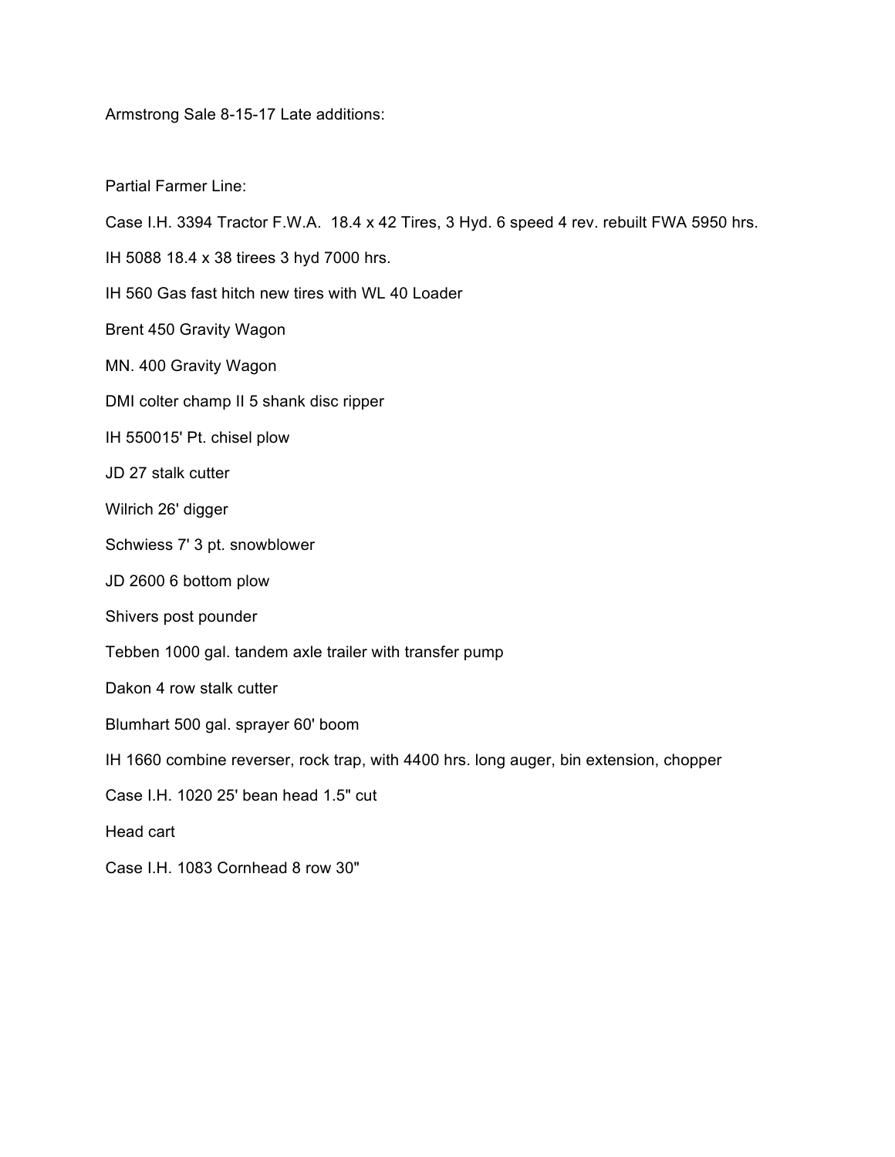Armstrong Sale 8-15-17 Late additions:

Partial Farmer Line:

| Case I.H. 3394 Tractor F.W.A. 18.4 x 42 Tires, 3 Hyd. 6 speed 4 rev. rebuilt FWA 5950 hrs. |
|--------------------------------------------------------------------------------------------|
| IH 5088 18.4 x 38 tirees 3 hyd 7000 hrs.                                                   |
| IH 560 Gas fast hitch new tires with WL 40 Loader                                          |
| Brent 450 Gravity Wagon                                                                    |
| MN. 400 Gravity Wagon                                                                      |
| DMI colter champ II 5 shank disc ripper                                                    |
| IH 550015' Pt. chisel plow                                                                 |
| JD 27 stalk cutter                                                                         |
| Wilrich 26' digger                                                                         |
| Schwiess 7' 3 pt. snowblower                                                               |
| JD 2600 6 bottom plow                                                                      |
| Shivers post pounder                                                                       |
| Tebben 1000 gal. tandem axle trailer with transfer pump                                    |
| Dakon 4 row stalk cutter                                                                   |
| Blumhart 500 gal. sprayer 60' boom                                                         |
| IH 1660 combine reverser, rock trap, with 4400 hrs. long auger, bin extension, chopper     |
| Case I.H. 1020 25' bean head 1.5" cut                                                      |
| Head cart                                                                                  |

Case I.H. 1083 Cornhead 8 row 30"